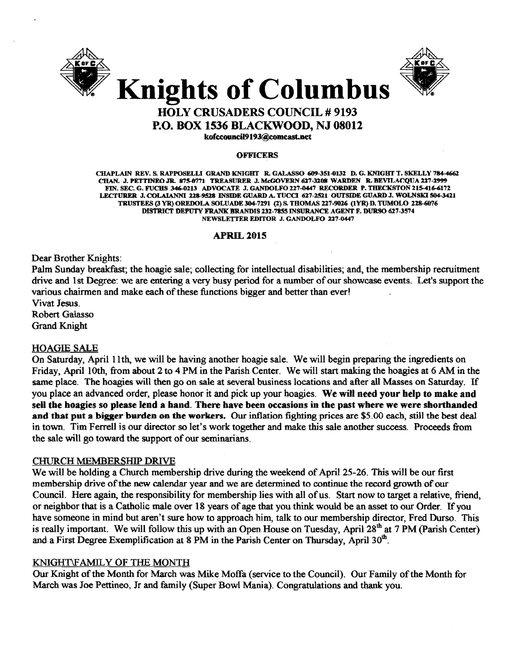



### HOLY CRUSADERS COUNCIL # 9193 P.O. BOX 1536 BLACKWOOD, NJ 08012 kofccouncil9193@comcast.net

**OFFICERS** 

CHAPLAIN REV. S. RAPPOSELLI GRAND KNIGHT R. GALASSO 609-351-0132 D. G. KNIGHT T. SKELLY 784-4662 CHAN. J. PETTINEO JR. 875-0771 TREASURER J. McGOVERN 627-3208 WARDEN R. BEVILACQUA 227-2999 FIN. SEC. G. FUCHS 346-0213 ADVOCATE J. GANDOLFO 227-0447 RECORDER P. THECKSTON 215-416-6172 LECTURER J. COLAIANNI 228-9528 INSIDE GUARD A. TUCCI 627-2521 OUTSIDE GUARD J. WOLNSKI 504-3421 TRUSTEES (3 YR) OREDOLA SOLUADE 304-7291 (2) S. THOMAS 227-9026 (1YR) D. TUMOLO 228-6076 DISTRICT DEPUTY FRANK BRANDIS 231-7855 INSURANCE AGENT F. DURSO 627-3574 NEWSLETTER EDITOR J. GANDOLFO 227-0447

#### **APRIL 2015**

Dear Brother Knights:

Palm Sunday breakfast; the hoagie sale; collecting for intellectual disabilities; and, the membership recruitment drive and 1st Degree: we are entering a very busy period for a number of our showcase events. Let's support the various chairmen and make each of these functions bigger and better than ever!

Vivat Jesus. Robert Galasso Grand Knight

#### HOAGIE SALE

On Saturday, April 11th, we will be having another hoagie sale. We will begin preparing the ingredients on Friday. April 10th, from about 2 to 4 PM in the Parish Center. We will start making the hoagies at 6 AM in the same place. The hoagies will then go on sale at several business locations and after all Masses on Saturday. If you place an advanced order, please honor it and pick up your hoagies. We will need your help to make and sell the hoagies so please lend a hand. There have been occasions in the past where we were shorthanded and that put a bigger burden on the workers. Our inflation fighting prices are \$5.00 each, still the best deal in town. Tim Ferrell is our director so let's work together and make this sale another success. Proceeds from the sale will go toward the support of our seminarians.

#### CHURCH MEMBERSHIP DRIVE

We will be holding a Church membership drive during the weekend of April 25-26. This will be our first membership drive of the new calendar year and we are determined to continue the record growth of our Council. Here again, the responsibility for membership lies with all of us. Start now to target a relative, friend, or neighbor that is a Catholic male over 18 years of age that you think would be an asset to our Order. If you have someone in mind but aren't sure how to approach him, talk to our membership director, Fred Durso. This is really important. We will follow this up with an Open House on Tuesday, April 28<sup>th</sup> at 7 PM (Parish Center) and a First Degree Exemplification at 8 PM in the Parish Center on Thursday, April 30<sup>th</sup>.

#### KNIGHT\F AMIL Y OF THE MONTH

Our Knight of the Month for March was Mike Moffa (service to the Council). Our Family of the Month for March was Joe Pettineo, Jr and family (Super Bowl Mania). Congratulations and thank you.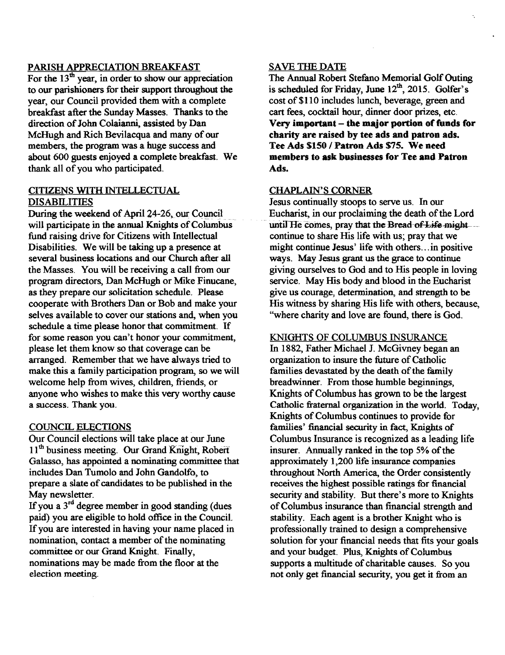#### PARISH APPRECIATION BREAKFAST

For the  $13<sup>th</sup>$  year, in order to show our appreciation to our parishioners for their support throughout the year, our Council provided them with a complete breakfast after the Sunday Masses. Thanks to the direction of John Colaianni, assisted by Dan McHugh and Rich Bevilacqua and many of our members, the program was a huge success and about 600 guests enjoyed a complete breakfast. We thank: all of you who participated.

#### CITIZENS WITH INTELLECTUAL DISABILITIES

During the weekend of April 24-26, our Council. will participate in the annual Knights of Columbus fund raising drive for Citizens with Intellectual Disabilities. We will be taking up a presence at several business locations and our Church after all the Masses. You will be receiving a call from our program directors, Dan McHugh or Mike Finucane, as they prepare our solicitation schedule. Please cooperate with Brothers Dan or Bob and make your selves available to cover our stations and, when you schedule a time please honor that commitment. If for some reason you can't honor your commitment, please let them know so that coverage can be arranged. Remember that we have always tried to make this a family participation program, so we will welcome help from wives, children, friends, or anyone who wishes to make this very worthy cause a success. Thank you.

#### COUNCIL ELECTIONS

Our Council elections will take place at our June 11<sup>th</sup> business meeting. Our Grand Knight, Robert Galasso, has appointed a nominating committee that includes Dan Tumolo and John Gandolfo, to prepare a slate of candidates to be published in the May newsletter.

If you a 3<sup>rd</sup> degree member in good standing (dues paid) you are eligible to hold office in the Council. If you are interested in having your name placed in nomination, contact a member of the nominating committee or our Grand Knight. Finally, nominations may be made from the floor at the election meeting.

#### SAVE THE DATE

The Annual Robert Stefano Memorial Golf Outing is scheduled for Friday, June 12<sup>th</sup>, 2015. Golfer's cost of \$110 includes lunch, beverage, green and cart fees, cocktail hour, dinner door prizes, etc. Very important  $-$  the major portion of funds for charity are raised by tee ads and patron ads. Tee Ads \$150 / Patron Ads \$75. We need members to ask businesses for Tee and Patron Ads.

#### CHAPLAIN'S CORNER

Jesus continually stoops to serve us. In our Eucharist, in our proclaiming the death of the Lord until He comes, pray that the Bread of Life might continue to share His life with us; pray that we might continue Jesus' life with others ...in positive ways. May Jesus grant us the grace to continue giving ourselves to God and to His people in loving service. May His body and blood in the Eucharist give us courage, determination, and strength to be His witness by sharing His life with others, because, "where charity and love are found, there is God.

#### KNIGHTS OF COLUMBUS INSURANCE

In 1882, Father Michael J. McGivney began an organization to insure the future of Catholic families devastated by the death of the family breadwinner. From those humble beginnings, Knights of Columbus has grown to be the largest Catholic fraternal organization in the world. Today, Knights of Columbus continues to provide for families' financial security in fact, Knights of Columbus Insurance is recognized as a leading life insurer. Annually ranked in the top 5% of the approximately 1,200 life insurance companies throughout North America, the Order consistently receives the highest possible ratings for financial security and stability. But there's more to Knights ofColumbus insurance than financial strength and stability. Each agent is a brother Knight who is professionally trained to design a comprehensive solution for your financial needs that fits your goals and your budget. Plus, Knights of Columbus supports a multitude of charitable causes. So you not only get financial security, you get it from an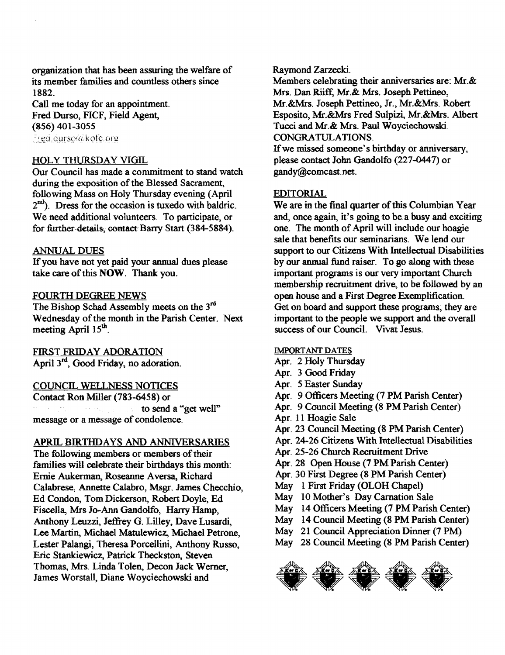organization that has been assuring the welfare of its member families and countless others since 1882\_

Call me today for an appointment. Fred Durso, FICF, Field Agent, (856) 401-3055 Fred.durso@kofc.org

#### HOLY THURSDAY VIGIL

Our Council has made a commitment to stand watch during the exposition of the Blessed Sacrament, following Mass on Holy Thursday evening (April 2nd). Dress for the occasion is tuxedo with baldric. We need additional volunteers. To participate, or for further details, contact Barry Start (384-5884).

#### ANNUAL DUES

Ifyou have not yet paid your annual dues please take care of this NOW. Thank you.

#### FOURTH DEGREE NEWS

The Bishop Schad Assembly meets on the 3<sup>rd</sup> Wednesday of the month in the Parish Center. Next meeting April 15<sup>th</sup>.

FIRST FRIDAY ADORATION April 3<sup>rd</sup>, Good Friday, no adoration.

#### COUNCIL WELLNESS NOTICES

Contact Ron Miller (783-6458) or to send a "get well" March of the Way and Low message or a message of condolence.

#### APRIL BIRTHDAYS AND ANNIVERSARIES

The following members or members of their families will celebrate their birthdays this month: Ernie Aukerman, Roseanne Aversa, Richard Calabrese, Annette Calabro, Msgr. James Checchio, Ed Condon, Tom Dickerson, Robert Doyle, Ed Fiscella, Mrs Jo-Ann Gandolfo, Harry Hamp, Anthony Leuzzi, Jeffrey G. Lilley, Dave Lusardi, Lee Martin, Michael Matulewicz, Michael Petrone, Lester Palangi, Theresa Porcellini, Anthony Russo, Eric Stankiewicz, Patrick Theckston, Steven Thomas, Mrs. Linda Tolen, Decon Jack Werner, James Worstall, Diane Woyciechowski and

Raymond Zarzecki.

Members celebrating their anniversaries are: Mr.& Mrs. Dan Riiff, Mr.& Mrs\_ Joseph Pettineo, Mr. &Mrs. Joseph Pettineo, Jr., Mr.&Mrs. Robert Esposito, Mr.&Mrs Fred Sulpizi, Mr.&Mrs. Albert Tucci and Mr.& Mrs. Paul Woyciechowski. CONGRATULATIONS.

If we missed someone's birthday or anniversary, please contact John Gandolfo (227-0447) or gandy@comcast.net.

#### EDITORIAL

We are in the final quarter of this Columbian Year and, once again, it's going to bea busy and exciting one. The month of April will include our hoagie sale that benefits our seminarians. We lend our support to our Citizens With Intellectual Disabilities by our annual fund raiser. To go along with these important programs is our very important Church membership recruitment drive, to be followed by an open house and a First Degree Exemplification. Get on board and support these programs; they are important to the people we support and the overall success of our Council. Vivat Jesus.

#### IMPORTANT DATES

- Apr. 2 Holy Thursday
- Apr. 3 Good Friday
- Apr. 5 Easter Sunday
- Apr. 9 Officers Meeting (7 PM Parish Center)
- Apr. 9 Council Meeting (8 PM Parish Center)
- Apr. 11 Hoagie Sale
- Apr. 23 Council Meeting (8 PM Parish Center)
- Apr. 24-26 Citizens With Intellectual Disabilities
- Apr. 25-26 Church Recruitment Drive
- Apr. 28 Open House (7 PM Parish Center)
- Apr. 30 First Degree (8 PM Parish Center)
- May 1 First Friday (OLOH Chapel)
- May 10 Mother's Day Carnation Sale
- May 14 Officers Meeting (7 PM Parish Center)
- May 14 Council Meeting (8 PM Parish Center)
- May 21 Council Appreciation Dinner (7 PM)
- May 28 Council Meeting (8 PM Parish Center)